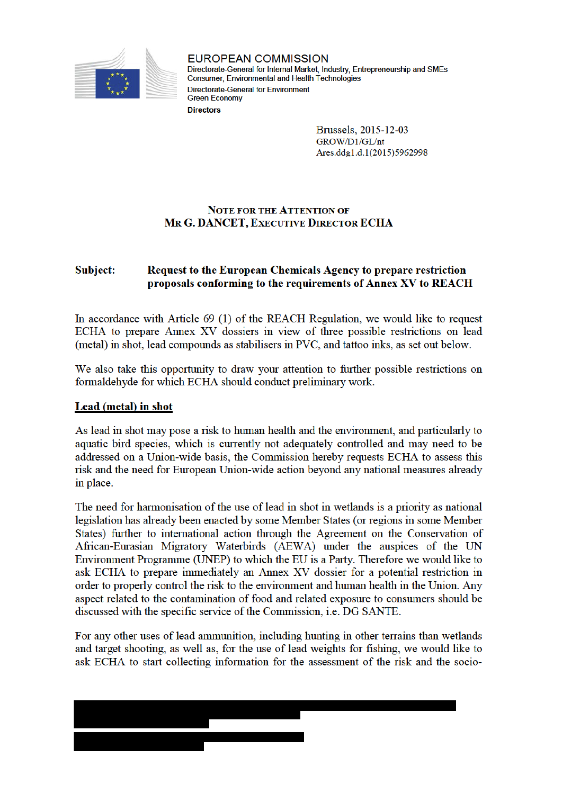

**EUROPEAN COMMISSION** Directorate-General for Internal Market, Industry, Entrepreneurship and SMEs Consumer, Environmental and Health Technologies **Directorate-General for Environment Green Economy Directors** 

> Brussels, 2015-12-03 GROW/D1/GL/nt Ares.ddg1.d.1(2015)5962998

# **NOTE FOR THE ATTENTION OF MR G. DANCET, EXECUTIVE DIRECTOR ECHA**

#### Subject: Request to the European Chemicals Agency to prepare restriction proposals conforming to the requirements of Annex XV to REACH

In accordance with Article 69 (1) of the REACH Regulation, we would like to request ECHA to prepare Annex XV dossiers in view of three possible restrictions on lead (metal) in shot, lead compounds as stabilisers in PVC, and tattoo inks, as set out below.

We also take this opportunity to draw your attention to further possible restrictions on formaldehyde for which ECHA should conduct preliminary work.

#### Lead (metal) in shot

As lead in shot may pose a risk to human health and the environment, and particularly to aquatic bird species, which is currently not adequately controlled and may need to be addressed on a Union-wide basis, the Commission hereby requests ECHA to assess this risk and the need for European Union-wide action beyond any national measures already in place.

The need for harmonisation of the use of lead in shot in wetlands is a priority as national legislation has already been enacted by some Member States (or regions in some Member States) further to international action through the Agreement on the Conservation of African-Eurasian Migratory Waterbirds (AEWA) under the auspices of the UN Environment Programme (UNEP) to which the EU is a Party. Therefore we would like to ask ECHA to prepare immediately an Annex XV dossier for a potential restriction in order to properly control the risk to the environment and human health in the Union. Any aspect related to the contamination of food and related exposure to consumers should be discussed with the specific service of the Commission, *i.e.* DG SANTE.

For any other uses of lead ammunition, including hunting in other terrains than wetlands and target shooting, as well as, for the use of lead weights for fishing, we would like to ask ECHA to start collecting information for the assessment of the risk and the socio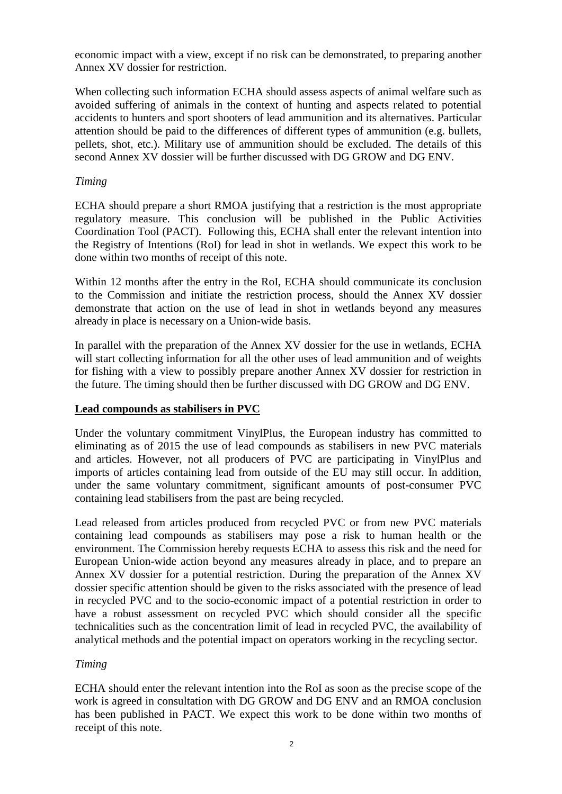economic impact with a view, except if no risk can be demonstrated, to preparing another Annex XV dossier for restriction.

When collecting such information ECHA should assess aspects of animal welfare such as avoided suffering of animals in the context of hunting and aspects related to potential accidents to hunters and sport shooters of lead ammunition and its alternatives. Particular attention should be paid to the differences of different types of ammunition (e.g. bullets, pellets, shot, etc.). Military use of ammunition should be excluded. The details of this second Annex XV dossier will be further discussed with DG GROW and DG ENV.

## *Timing*

ECHA should prepare a short RMOA justifying that a restriction is the most appropriate regulatory measure. This conclusion will be published in the Public Activities Coordination Tool (PACT). Following this, ECHA shall enter the relevant intention into the Registry of Intentions (RoI) for lead in shot in wetlands. We expect this work to be done within two months of receipt of this note.

Within 12 months after the entry in the RoI, ECHA should communicate its conclusion to the Commission and initiate the restriction process, should the Annex XV dossier demonstrate that action on the use of lead in shot in wetlands beyond any measures already in place is necessary on a Union-wide basis.

In parallel with the preparation of the Annex XV dossier for the use in wetlands, ECHA will start collecting information for all the other uses of lead ammunition and of weights for fishing with a view to possibly prepare another Annex XV dossier for restriction in the future. The timing should then be further discussed with DG GROW and DG ENV.

#### **Lead compounds as stabilisers in PVC**

Under the voluntary commitment VinylPlus, the European industry has committed to eliminating as of 2015 the use of lead compounds as stabilisers in new PVC materials and articles. However, not all producers of PVC are participating in VinylPlus and imports of articles containing lead from outside of the EU may still occur. In addition, under the same voluntary commitment, significant amounts of post-consumer PVC containing lead stabilisers from the past are being recycled.

Lead released from articles produced from recycled PVC or from new PVC materials containing lead compounds as stabilisers may pose a risk to human health or the environment. The Commission hereby requests ECHA to assess this risk and the need for European Union-wide action beyond any measures already in place, and to prepare an Annex XV dossier for a potential restriction. During the preparation of the Annex XV dossier specific attention should be given to the risks associated with the presence of lead in recycled PVC and to the socio-economic impact of a potential restriction in order to have a robust assessment on recycled PVC which should consider all the specific technicalities such as the concentration limit of lead in recycled PVC, the availability of analytical methods and the potential impact on operators working in the recycling sector.

# *Timing*

ECHA should enter the relevant intention into the RoI as soon as the precise scope of the work is agreed in consultation with DG GROW and DG ENV and an RMOA conclusion has been published in PACT. We expect this work to be done within two months of receipt of this note.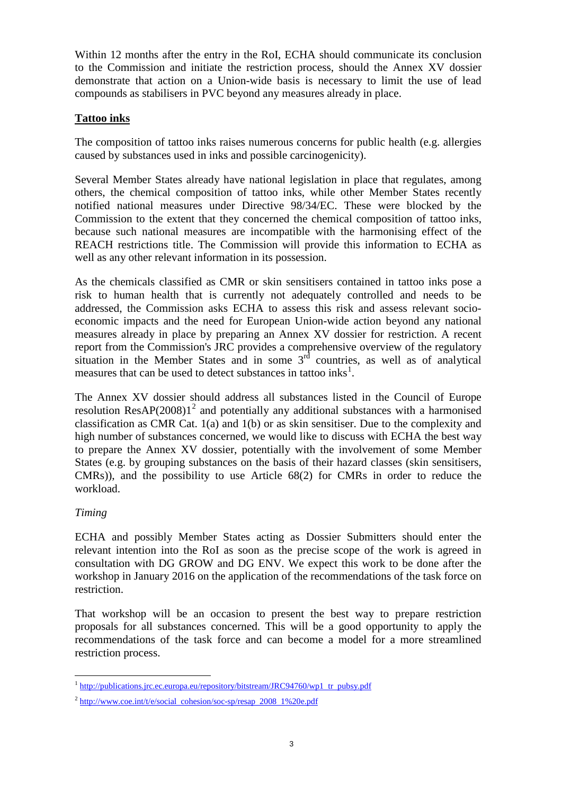Within 12 months after the entry in the RoI, ECHA should communicate its conclusion to the Commission and initiate the restriction process, should the Annex XV dossier demonstrate that action on a Union-wide basis is necessary to limit the use of lead compounds as stabilisers in PVC beyond any measures already in place.

# **Tattoo inks**

The composition of tattoo inks raises numerous concerns for public health (e.g. allergies caused by substances used in inks and possible carcinogenicity).

Several Member States already have national legislation in place that regulates, among others, the chemical composition of tattoo inks, while other Member States recently notified national measures under Directive 98/34/EC. These were blocked by the Commission to the extent that they concerned the chemical composition of tattoo inks, because such national measures are incompatible with the harmonising effect of the REACH restrictions title. The Commission will provide this information to ECHA as well as any other relevant information in its possession.

As the chemicals classified as CMR or skin sensitisers contained in tattoo inks pose a risk to human health that is currently not adequately controlled and needs to be addressed, the Commission asks ECHA to assess this risk and assess relevant socioeconomic impacts and the need for European Union-wide action beyond any national measures already in place by preparing an Annex XV dossier for restriction. A recent report from the Commission's JRC provides a comprehensive overview of the regulatory situation in the Member States and in some  $3<sup>rd</sup>$  countries, as well as of analytical measures that can be used to detect substances in tattoo inks<sup>1</sup>.

The Annex XV dossier should address all substances listed in the Council of Europe resolution ResAP $(2008)1<sup>2</sup>$  and potentially any additional substances with a harmonised classification as CMR Cat. 1(a) and 1(b) or as skin sensitiser. Due to the complexity and high number of substances concerned, we would like to discuss with ECHA the best way to prepare the Annex XV dossier, potentially with the involvement of some Member States (e.g. by grouping substances on the basis of their hazard classes (skin sensitisers, CMRs)), and the possibility to use Article 68(2) for CMRs in order to reduce the workload.

#### *Timing*

ECHA and possibly Member States acting as Dossier Submitters should enter the relevant intention into the RoI as soon as the precise scope of the work is agreed in consultation with DG GROW and DG ENV. We expect this work to be done after the workshop in January 2016 on the application of the recommendations of the task force on restriction.

That workshop will be an occasion to present the best way to prepare restriction proposals for all substances concerned. This will be a good opportunity to apply the recommendations of the task force and can become a model for a more streamlined restriction process.

 $\overline{a}$ <sup>1</sup> http://publications.jrc.ec.europa.eu/repository/bitstream/JRC94760/wp1 tr pubsy.pdf

 $^{2}$  http://www.coe.int/t/e/social cohesion/soc-sp/resap 2008 1%20e.pdf